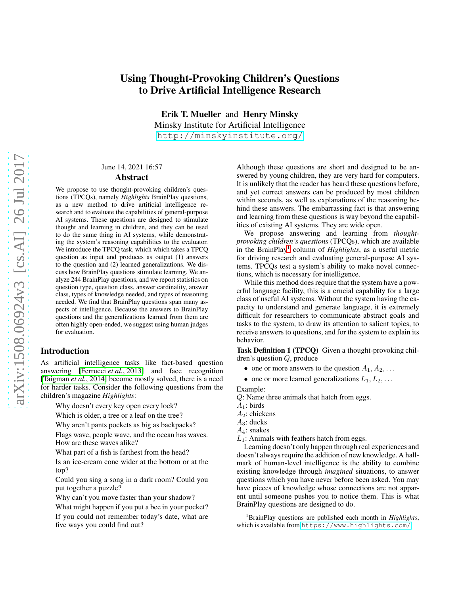# arXiv:1508.06924v3 [cs.AI] 26 Jul 2017 [arXiv:1508.06924v3 \[cs.AI\] 26 Jul 2017](http://arxiv.org/abs/1508.06924v3)

# Using Thought-Provoking Children's Questions to Drive Artificial Intelligence Research

Erik T. Mueller and Henry Minsky Minsky Institute for Artificial Intelligence <http://minskyinstitute.org/>

### June 14, 2021 16:57

# Abstract

We propose to use thought-provoking children's questions (TPCQs), namely *Highlights* BrainPlay questions, as a new method to drive artificial intelligence research and to evaluate the capabilities of general-purpose AI systems. These questions are designed to stimulate thought and learning in children, and they can be used to do the same thing in AI systems, while demonstrating the system's reasoning capabilities to the evaluator. We introduce the TPCQ task, which which takes a TPCQ question as input and produces as output (1) answers to the question and (2) learned generalizations. We discuss how BrainPlay questions stimulate learning. We analyze 244 BrainPlay questions, and we report statistics on question type, question class, answer cardinality, answer class, types of knowledge needed, and types of reasoning needed. We find that BrainPlay questions span many aspects of intelligence. Because the answers to BrainPlay questions and the generalizations learned from them are often highly open-ended, we suggest using human judges for evaluation.

### Introduction

As artificial intelligence tasks like fact-based question answering [\[Ferrucci](#page-6-0) *et al.*, 2013] and face recognition [\[Taigman](#page-6-1) *et al.*, 2014] become mostly solved, there is a need for harder tasks. Consider the following questions from the children's magazine *Highlights*:

Why doesn't every key open every lock?

Which is older, a tree or a leaf on the tree?

Why aren't pants pockets as big as backpacks?

Flags wave, people wave, and the ocean has waves. How are these waves alike?

What part of a fish is farthest from the head?

Is an ice-cream cone wider at the bottom or at the top?

Could you sing a song in a dark room? Could you put together a puzzle?

Why can't you move faster than your shadow?

What might happen if you put a bee in your pocket? If you could not remember today's date, what are five ways you could find out?

Although these questions are short and designed to be answered by young children, they are very hard for computers. It is unlikely that the reader has heard these questions before, and yet correct answers can be produced by most children within seconds, as well as explanations of the reasoning behind these answers. The embarrassing fact is that answering and learning from these questions is way beyond the capabilities of existing AI systems. They are wide open.

We propose answering and learning from *thoughtprovoking children's questions* (TPCQs), which are available in the BrainPlay[1](#page-0-0) column of *Highlights*, as a useful metric for driving research and evaluating general-purpose AI systems. TPCQs test a system's ability to make novel connections, which is necessary for intelligence.

While this method does require that the system have a powerful language facility, this is a crucial capability for a large class of useful AI systems. Without the system having the capacity to understand and generate language, it is extremely difficult for researchers to communicate abstract goals and tasks to the system, to draw its attention to salient topics, to receive answers to questions, and for the system to explain its behavior.

Task Definition 1 (TPCQ) Given a thought-provoking children's question Q, produce

- one or more answers to the question  $A_1, A_2, \ldots$
- one or more learned generalizations  $L_1, L_2, \ldots$

Example:

Q: Name three animals that hatch from eggs.

- $A_1$ : birds
- $A_2$ : chickens
- $A_3$ : ducks
- $A_4$ : snakes

 $L_1$ : Animals with feathers hatch from eggs.

Learning doesn't only happen through real experiences and doesn't always require the addition of new knowledge. A hallmark of human-level intelligence is the ability to combine existing knowledge through *imagined* situations, to answer questions which you have never before been asked. You may have pieces of knowledge whose connections are not apparent until someone pushes you to notice them. This is what BrainPlay questions are designed to do.

<span id="page-0-0"></span><sup>1</sup>BrainPlay questions are published each month in *Highlights*, which is available from <https://www.highlights.com/>.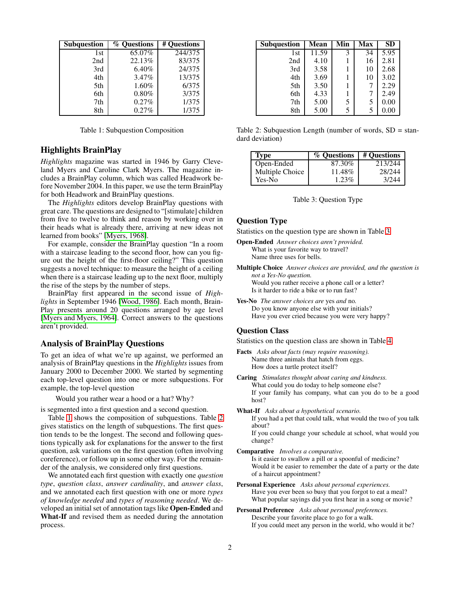| <b>Subquestion</b> | % Ouestions | # Questions |
|--------------------|-------------|-------------|
| 1st                | 65.07%      | 244/375     |
| 2nd                | 22.13%      | 83/375      |
| 3rd                | 6.40%       | 24/375      |
| 4th                | 3.47%       | 13/375      |
| 5th                | 1.60%       | 6/375       |
| 6th                | 0.80%       | 3/375       |
| 7th                | 0.27%       | 1/375       |
| 8th                | 0.27%       | 1/375       |

<span id="page-1-0"></span>Table 1: Subquestion Composition

# Highlights BrainPlay

*Highlights* magazine was started in 1946 by Garry Cleveland Myers and Caroline Clark Myers. The magazine includes a BrainPlay column, which was called Headwork before November 2004. In this paper, we use the term BrainPlay for both Headwork and BrainPlay questions.

The *Highlights* editors develop BrainPlay questions with great care. The questions are designed to "[stimulate] children from five to twelve to think and reason by working over in their heads what is already there, arriving at new ideas not learned from books" [\[Myers, 1968\]](#page-6-2).

For example, consider the BrainPlay question "In a room with a staircase leading to the second floor, how can you figure out the height of the first-floor ceiling?" This question suggests a novel technique: to measure the height of a ceiling when there is a staircase leading up to the next floor, multiply the rise of the steps by the number of steps.

BrainPlay first appeared in the second issue of *Highlights* in September 1946 [\[Wood, 1986\]](#page-6-3). Each month, Brain-Play presents around 20 questions arranged by age level [\[Myers and Myers, 1964\]](#page-6-4). Correct answers to the questions aren't provided.

## Analysis of BrainPlay Questions

To get an idea of what we're up against, we performed an analysis of BrainPlay questions in the *Highlights* issues from January 2000 to December 2000. We started by segmenting each top-level question into one or more subquestions. For example, the top-level question

Would you rather wear a hood or a hat? Why?

is segmented into a first question and a second question.

Table [1](#page-1-0) shows the composition of subquestions. Table [2](#page-1-1) gives statistics on the length of subquestions. The first question tends to be the longest. The second and following questions typically ask for explanations for the answer to the first question, ask variations on the first question (often involving coreference), or follow up in some other way. For the remainder of the analysis, we considered only first questions.

We annotated each first question with exactly one *question type*, *question class*, *answer cardinality*, and *answer class*, and we annotated each first question with one or more *types of knowledge needed* and *types of reasoning needed*. We developed an initial set of annotation tags like Open-Ended and What-If and revised them as needed during the annotation process.

| <b>Subquestion</b> | Mean  | $\overline{\mathbf{M}}$ in | <b>Max</b> | <b>SD</b> |
|--------------------|-------|----------------------------|------------|-----------|
| 1st                | 11.59 | 3                          | 34         | 5.95      |
| 2nd                | 4.10  |                            | 16         | 2.81      |
| 3rd                | 3.58  |                            | 10         | 2.68      |
| 4th                | 3.69  |                            | 10         | 3.02      |
| 5th                | 3.50  |                            | 7          | 2.29      |
| 6th                | 4.33  |                            |            | 2.49      |
| 7th                | 5.00  | 5                          | 5          | 0.00      |
| 8th                | 5.00  | 5                          | 5          | 0.00      |

Table 2: Subquestion Length (number of words,  $SD = stan$ dard deviation)

<span id="page-1-1"></span>

| Type            | % Ouestions | # Questions |
|-----------------|-------------|-------------|
| Open-Ended      | 87.30%      | 213/244     |
| Multiple Choice | 11.48%      | 28/244      |
| Yes-No          | $1.23\%$    | 3/244       |

<span id="page-1-2"></span>Table 3: Question Type

### Question Type

Statistics on the question type are shown in Table [3.](#page-1-2)

Open-Ended *Answer choices aren't provided.* What is your favorite way to travel? Name three uses for bells.

- Multiple Choice *Answer choices are provided, and the question is not a Yes-No question.* Would you rather receive a phone call or a letter? Is it harder to ride a bike or to run fast?
- Yes-No *The answer choices are* yes *and* no*.* Do you know anyone else with your initials? Have you ever cried because you were very happy?

# Question Class

Statistics on the question class are shown in Table [4.](#page-2-0)

- Facts *Asks about facts (may require reasoning).* Name three animals that hatch from eggs. How does a turtle protect itself?
- Caring *Stimulates thought about caring and kindness.* What could you do today to help someone else? If your family has company, what can you do to be a good host?
- What-If *Asks about a hypothetical scenario.* If you had a pet that could talk, what would the two of you talk about? If you could change your schedule at school, what would you change?
- Comparative *Involves a comparative.* Is it easier to swallow a pill or a spoonful of medicine? Would it be easier to remember the date of a party or the date of a haircut appointment?
- Personal Experience *Asks about personal experiences.* Have you ever been so busy that you forgot to eat a meal? What popular sayings did you first hear in a song or movie?
- Personal Preference *Asks about personal preferences.* Describe your favorite place to go for a walk. If you could meet any person in the world, who would it be?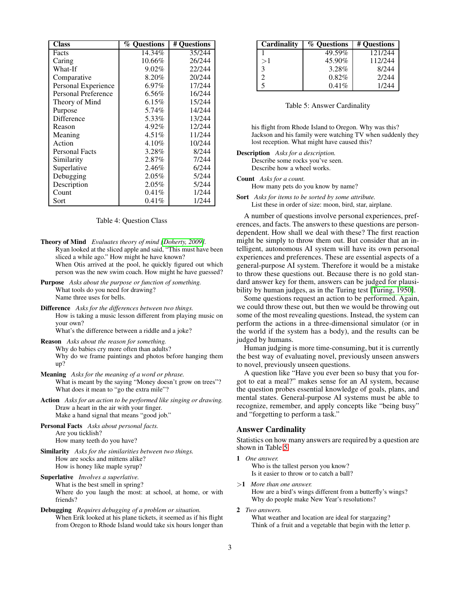| <b>Class</b>          | <b>% Questions</b> | # Ouestions |
|-----------------------|--------------------|-------------|
| Facts                 | 14.34%             | 35/244      |
| Caring                | 10.66%             | 26/244      |
| What-If               | 9.02%              | 22/244      |
| Comparative           | 8.20%              | 20/244      |
| Personal Experience   | $6.97\%$           | 17/244      |
| Personal Preference   | 6.56%              | 16/244      |
| Theory of Mind        | 6.15%              | 15/244      |
| Purpose               | 5.74%              | 14/244      |
| Difference            | 5.33%              | 13/244      |
| Reason                | $4.92\%$           | 12/244      |
| Meaning               | $4.51\%$           | 11/244      |
| Action                | $4.10\%$           | 10/244      |
| <b>Personal Facts</b> | 3.28%              | 8/244       |
| Similarity            | $2.87\%$           | 7/244       |
| Superlative           | 2.46%              | 6/244       |
| Debugging             | $2.05\%$           | 5/244       |
| Description           | $2.05\%$           | 5/244       |
| Count                 | $0.41\%$           | 1/244       |
| Sort                  | $0.41\%$           | 1/244       |

### <span id="page-2-0"></span>Table 4: Question Class

- Theory of Mind *Evaluates theory of mind [\[Doherty, 2009\]](#page-6-5).* Ryan looked at the sliced apple and said, "This must have been sliced a while ago." How might he have known? When Otis arrived at the pool, he quickly figured out which person was the new swim coach. How might he have guessed?
- Purpose *Asks about the purpose or function of something.* What tools do you need for drawing? Name three uses for bells.
- Difference *Asks for the differences between two things.* How is taking a music lesson different from playing music on your own? What's the difference between a riddle and a joke?
- Reason *Asks about the reason for something.* Why do babies cry more often than adults? Why do we frame paintings and photos before hanging them up?
- Meaning *Asks for the meaning of a word or phrase.* What is meant by the saying "Money doesn't grow on trees"? What does it mean to "go the extra mile"?
- Action *Asks for an action to be performed like singing or drawing.* Draw a heart in the air with your finger. Make a hand signal that means "good job."
- Personal Facts *Asks about personal facts.* Are you ticklish? How many teeth do you have?
- Similarity *Asks for the similarities between two things.* How are socks and mittens alike? How is honey like maple syrup?
- Superlative *Involves a superlative.* What is the best smell in spring? Where do you laugh the most: at school, at home, or with friends?
- Debugging *Requires debugging of a problem or situation.* When Erik looked at his plane tickets, it seemed as if his flight from Oregon to Rhode Island would take six hours longer than

| Cardinality | % Questions | # Questions |
|-------------|-------------|-------------|
|             | 49.59%      | 121/244     |
| >1          | 45.90%      | 112/244     |
| 3           | 3.28%       | 8/244       |
| っ           | $0.82\%$    | 2/244       |
| 5           | 0.41%       | 1/244       |

### <span id="page-2-1"></span>Table 5: Answer Cardinality

his flight from Rhode Island to Oregon. Why was this? Jackson and his family were watching TV when suddenly they lost reception. What might have caused this?

Description *Asks for a description.* Describe some rocks you've seen. Describe how a wheel works.

Count *Asks for a count.*

How many pets do you know by name?

Sort *Asks for items to be sorted by some attribute.* List these in order of size: moon, bird, star, airplane.

A number of questions involve personal experiences, preferences, and facts. The answers to these questions are persondependent. How shall we deal with these? The first reaction might be simply to throw them out. But consider that an intelligent, autonomous AI system will have its own personal experiences and preferences. These are essential aspects of a general-purpose AI system. Therefore it would be a mistake to throw these questions out. Because there is no gold standard answer key for them, answers can be judged for plausibility by human judges, as in the Turing test [\[Turing, 1950\]](#page-6-6).

Some questions request an action to be performed. Again, we could throw these out, but then we would be throwing out some of the most revealing questions. Instead, the system can perform the actions in a three-dimensional simulator (or in the world if the system has a body), and the results can be judged by humans.

Human judging is more time-consuming, but it is currently the best way of evaluating novel, previously unseen answers to novel, previously unseen questions.

A question like "Have you ever been so busy that you forgot to eat a meal?" makes sense for an AI system, because the question probes essential knowledge of goals, plans, and mental states. General-purpose AI systems must be able to recognize, remember, and apply concepts like "being busy" and "forgetting to perform a task."

### Answer Cardinality

Statistics on how many answers are required by a question are shown in Table [5.](#page-2-1)

1 *One answer.* Who is the tallest person you know? Is it easier to throw or to catch a ball?

>1 *More than one answer.* How are a bird's wings different from a butterfly's wings? Why do people make New Year's resolutions?

2 *Two answers.*

What weather and location are ideal for stargazing? Think of a fruit and a vegetable that begin with the letter p.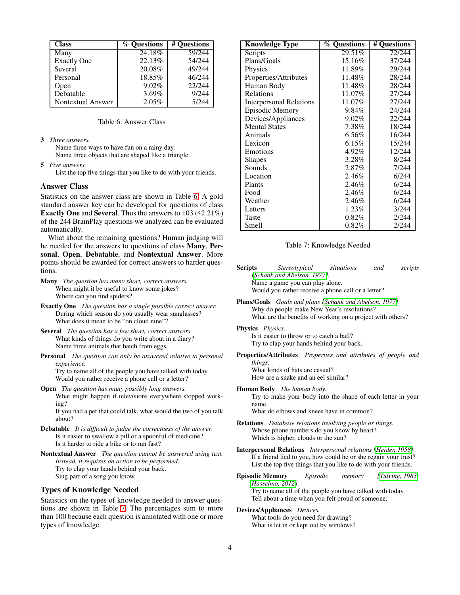| <b>Class</b>       | % Ouestions | # Ouestions |
|--------------------|-------------|-------------|
| Many               | 24.18%      | 59/244      |
| <b>Exactly One</b> | 22.13%      | 54/244      |
| Several            | 20.08%      | 49/244      |
| Personal           | 18.85%      | 46/244      |
| Open               | $9.02\%$    | 22/244      |
| Debatable          | 3.69%       | 9/244       |
| Nontextual Answer  | 2.05%       | 5/244       |

### <span id="page-3-0"></span>Table 6: Answer Class

3 *Three answers.*

Name three ways to have fun on a rainy day. Name three objects that are shaped like a triangle.

5 *Five answers.*

List the top five things that you like to do with your friends.

### Answer Class

Statistics on the answer class are shown in Table [6.](#page-3-0) A gold standard answer key can be developed for questions of class Exactly One and Several. Thus the answers to 103 (42.21%) of the 244 BrainPlay questions we analyzed can be evaluated automatically.

What about the remaining questions? Human judging will be needed for the answers to questions of class Many, Personal, Open, Debatable, and Nontextual Answer. More points should be awarded for correct answers to harder questions.

- Many *The question has many short, correct answers.* When might it be useful to know some jokes? Where can you find spiders?
- Exactly One *The question has a single possible correct answer.* During which season do you usually wear sunglasses? What does it mean to be "on cloud nine"?
- Several *The question has a few short, correct answers.* What kinds of things do you write about in a diary? Name three animals that hatch from eggs.
- Personal *The question can only be answered relative to personal experience.* Try to name all of the people you have talked with today.

Would you rather receive a phone call or a letter?

Open *The question has many possibly long answers.* What might happen if televisions everywhere stopped working?

If you had a pet that could talk, what would the two of you talk about?

- Debatable *It is difficult to judge the correctness of the answer.* Is it easier to swallow a pill or a spoonful of medicine? Is it harder to ride a bike or to run fast?
- Nontextual Answer *The question cannot be answered using text. Instead, it requires an action to be performed.* Try to clap your hands behind your back. Sing part of a song you know.

# Types of Knowledge Needed

Statistics on the types of knowledge needed to answer questions are shown in Table [7.](#page-3-1) The percentages sum to more than 100 because each question is annotated with one or more types of knowledge.

| <b>Knowledge Type</b>   | % Ouestions | # Questions |
|-------------------------|-------------|-------------|
| Scripts                 | 29.51%      | 72/244      |
| Plans/Goals             | 15.16%      | 37/244      |
| Physics                 | 11.89%      | 29/244      |
| Properties/Attributes   | 11.48%      | 28/244      |
| Human Body              | 11.48%      | 28/244      |
| Relations               | 11.07%      | 27/244      |
| Interpersonal Relations | 11.07%      | 27/244      |
| <b>Episodic Memory</b>  | 9.84%       | 24/244      |
| Devices/Appliances      | $9.02\%$    | 22/244      |
| <b>Mental States</b>    | 7.38%       | 18/244      |
| Animals                 | 6.56%       | 16/244      |
| Lexicon                 | $6.15\%$    | 15/244      |
| Emotions                | 4.92%       | 12/244      |
| <b>Shapes</b>           | 3.28%       | 8/244       |
| Sounds                  | 2.87%       | 7/244       |
| Location                | 2.46%       | 6/244       |
| Plants                  | 2.46%       | 6/244       |
| Food                    | 2.46%       | 6/244       |
| Weather                 | 2.46%       | 6/244       |
| Letters                 | 1.23%       | 3/244       |
| Taste                   | $0.82\%$    | 2/244       |
| Smell                   | 0.82%       | 2/244       |

### <span id="page-3-1"></span>Table 7: Knowledge Needed

| <b>Scripts</b> | Stereotypical                                      | situations | and | scripts |
|----------------|----------------------------------------------------|------------|-----|---------|
|                | [Schank and Abelson, 1977].                        |            |     |         |
|                | Name a game you can play alone.                    |            |     |         |
|                | Would you rather receive a phone call or a letter? |            |     |         |

Plans/Goals *Goals and plans [\[Schank and Abelson, 1977\]](#page-6-7).* Why do people make New Year's resolutions? What are the benefits of working on a project with others?

Physics *Physics.* Is it easier to throw or to catch a ball?

Try to clap your hands behind your back.

Properties/Attributes *Properties and attributes of people and things.*

What kinds of hats are casual? How are a snake and an eel similar?

Human Body *The human body.*

Try to make your body into the shape of each letter in your name.

What do elbows and knees have in common?

- Relations *Database relations involving people or things.* Whose phone numbers do you know by heart? Which is higher, clouds or the sun?
- Interpersonal Relations *Interpersonal relations [\[Heider, 1958\]](#page-6-8).* If a friend lied to you, how could he or she regain your trust? List the top five things that you like to do with your friends.
- Episodic Memory *Episodic memory [\[Tulving, 1983;](#page-6-9) [Hasselmo, 2012\]](#page-6-10).* Try to name all of the people you have talked with today.

Tell about a time when you felt proud of someone.

Devices/Appliances *Devices.*

What tools do you need for drawing? What is let in or kept out by windows?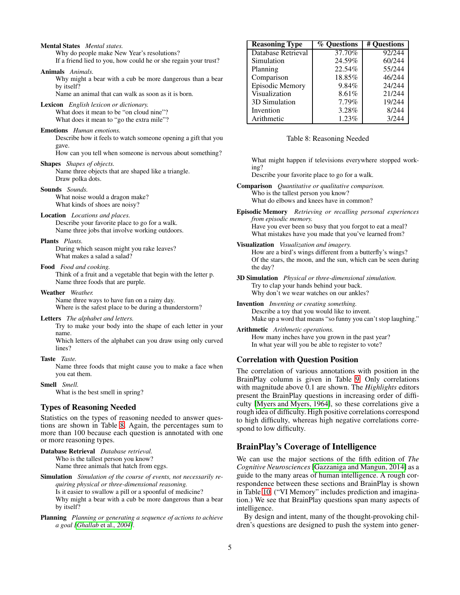Why do people make New Year's resolutions? If a friend lied to you, how could he or she regain your trust? Animals *Animals.* Why might a bear with a cub be more dangerous than a bear by itself? Name an animal that can walk as soon as it is born. Lexicon *English lexicon or dictionary.* What does it mean to be "on cloud nine"? What does it mean to "go the extra mile"? Emotions *Human emotions.* Describe how it feels to watch someone opening a gift that you gave. How can you tell when someone is nervous about something? Shapes *Shapes of objects.* Name three objects that are shaped like a triangle. Draw polka dots. Sounds *Sounds.* What noise would a dragon make? What kinds of shoes are noisy? Location *Locations and places.* Describe your favorite place to go for a walk. Name three jobs that involve working outdoors. Plants *Plants.* During which season might you rake leaves? What makes a salad a salad? Food *Food and cooking.* Think of a fruit and a vegetable that begin with the letter p. Name three foods that are purple. Weather *Weather.* Name three ways to have fun on a rainy day. Where is the safest place to be during a thunderstorm? Letters *The alphabet and letters.* Try to make your body into the shape of each letter in your name. Which letters of the alphabet can you draw using only curved lines? Taste *Taste.* Name three foods that might cause you to make a face when you eat them. Smell *Smell.* What is the best smell in spring? Types of Reasoning Needed Statistics on the types of reasoning needed to answer questions are shown in Table [8.](#page-4-0) Again, the percentages sum to more than 100 because each question is annotated with one or more reasoning types. Database Retrieval *Database retrieval.* Who is the tallest person you know? Name three animals that hatch from eggs. Simulation *Simulation of the course of events, not necessarily requiring physical or three-dimensional reasoning.* Is it easier to swallow a pill or a spoonful of medicine? Why might a bear with a cub be more dangerous than a bear by itself? Planning *Planning or generating a sequence of actions to achieve a goal [\[Ghallab](#page-6-11)* et al.*, 2004].* Database Retrieval 37.70% 92/244<br>Simulation 24.59% 60/244 Simulation Planning 22.54% 55/244 Comparison 18.85% 46/244 Episodic Memory 9.84% 24/244 Visualization 8.61% 21/244 3D Simulation 7.79% 19/244 Invention 1 3.28% 8/244 Arithmetic 1.23% 3/244 Table 8: Reasoning Needed What might happen if televisions everywhere stopped working? Describe your favorite place to go for a walk. Comparison *Quantitative or qualitative comparison.* Who is the tallest person you know? What do elbows and knees have in common? Episodic Memory *Retrieving or recalling personal experiences from episodic memory.* Have you ever been so busy that you forgot to eat a meal? What mistakes have you made that you've learned from? Visualization *Visualization and imagery.* How are a bird's wings different from a butterfly's wings? Of the stars, the moon, and the sun, which can be seen during the day? 3D Simulation *Physical or three-dimensional simulation.* Try to clap your hands behind your back. Why don't we wear watches on our ankles? Invention *Inventing or creating something.* Describe a toy that you would like to invent. Make up a word that means "so funny you can't stop laughing." Arithmetic *Arithmetic operations.* How many inches have you grown in the past year? In what year will you be able to register to vote? Correlation with Question Position The correlation of various annotations with position in the BrainPlay column is given in Table [9.](#page-5-0) Only correlations with magnitude above 0.1 are shown. The *Highlights* editors present the BrainPlay questions in increasing order of difficulty [\[Myers and Myers, 1964\]](#page-6-4), so these correlations give a rough idea of difficulty. High positive correlations correspond to high difficulty, whereas high negative correlations correspond to low difficulty. BrainPlay's Coverage of Intelligence We can use the major sections of the fifth edition of *The Cognitive Neurosciences*[\[Gazzaniga and Mangun, 2014\]](#page-6-12) as a guide to the many areas of human intelligence. A rough correspondence between these sections and BrainPlay is shown in Table [10.](#page-5-1) ("VI Memory" includes prediction and imagination.) We see that BrainPlay questions span many aspects of intelligence. By design and intent, many of the thought-provoking children's questions are designed to push the system into gener-

<span id="page-4-0"></span>Reasoning Type  $\frac{1}{2}$   $\%$  Questions  $\frac{1}{2}$  Questions

Mental States *Mental states.*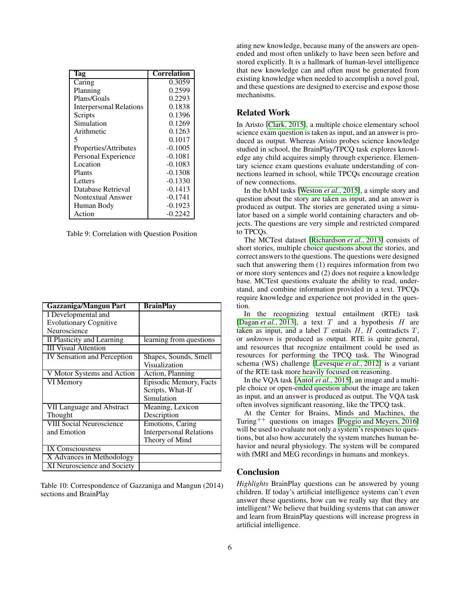| l'ag                           | <b>Correlation</b> |
|--------------------------------|--------------------|
| Caring                         | 0.3059             |
| Planning                       | 0.2599             |
| Plans/Goals                    | 0.2293             |
| <b>Interpersonal Relations</b> | 0.1838             |
| Scripts                        | 0.1396             |
| Simulation                     | 0.1269             |
| Arithmetic                     | 0.1263             |
| 5                              | 0.1017             |
| Properties/Attributes          | $-0.1005$          |
| Personal Experience            | $-0.1081$          |
| Location                       | $-0.1083$          |
| Plants                         | $-0.1308$          |
| Letters                        | $-0.1330$          |
| Database Retrieval             | $-0.1413$          |
| Nontextual Answer              | $-0.1741$          |
| Human Body                     | $-0.1923$          |
| Action                         | $-0.2242$          |

<span id="page-5-0"></span>Table 9: Correlation with Question Position

| <b>Gazzaniga/Mangun Part</b>       | <b>BrainPlay</b>               |
|------------------------------------|--------------------------------|
| I Developmental and                |                                |
| <b>Evolutionary Cognitive</b>      |                                |
| Neuroscience                       |                                |
| II Plasticity and Learning         | learning from questions        |
| <b>III Visual Attention</b>        |                                |
| <b>IV Sensation and Perception</b> | Shapes, Sounds, Smell          |
|                                    | Visualization                  |
| V Motor Systems and Action         | Action, Planning               |
| VI Memory                          | Episodic Memory, Facts         |
|                                    | Scripts, What-If               |
|                                    | Simulation                     |
| VII Language and Abstract          | Meaning, Lexicon               |
| Thought                            | Description                    |
| <b>VIII Social Neuroscience</b>    | <b>Emotions, Caring</b>        |
| and Emotion                        | <b>Interpersonal Relations</b> |
|                                    | Theory of Mind                 |
| <b>IX Consciousness</b>            |                                |
| X Advances in Methodology          |                                |
| XI Neuroscience and Society        |                                |

<span id="page-5-1"></span>Table 10: Correspondence of Gazzaniga and Mangun (2014) sections and BrainPlay

ating new knowledge, because many of the answers are openended and most often unlikely to have been seen before and stored explicitly. It is a hallmark of human-level intelligence that new knowledge can and often must be generated from existing knowledge when needed to accomplish a novel goal, and these questions are designed to exercise and expose those mechanisms.

# Related Work

In Aristo [\[Clark, 2015\]](#page-6-13), a multiple choice elementary school science exam question is taken as input, and an answer is produced as output. Whereas Aristo probes science knowledge studied in school, the BrainPlay/TPCQ task explores knowledge any child acquires simply through experience. Elementary science exam questions evaluate understanding of connections learned in school, while TPCQs encourage creation of new connections.

In the bAbI tasks [\[Weston](#page-6-14) *et al.*, 2015], a simple story and question about the story are taken as input, and an answer is produced as output. The stories are generated using a simulator based on a simple world containing characters and objects. The questions are very simple and restricted compared to TPCQs.

The MCTest dataset [\[Richardson](#page-6-15) *et al.*, 2013] consists of short stories, multiple choice questions about the stories, and correct answers to the questions. The questions were designed such that answering them (1) requires information from two or more story sentences and (2) does not require a knowledge base. MCTest questions evaluate the ability to read, understand, and combine information provided in a text. TPCQs require knowledge and experience not provided in the question.

In the recognizing textual entailment (RTE) task [\[Dagan](#page-6-16) *et al.*, 2013], a text T and a hypothesis H are taken as input, and a label  $T$  entails  $H$ ,  $H$  contradicts  $T$ , or *unknown* is produced as output. RTE is quite general, and resources that recognize entailment could be used as resources for performing the TPCQ task. The Winograd schema (WS) challenge [\[Levesque](#page-6-17) *et al.*, 2012] is a variant of the RTE task more heavily focused on reasoning.

In the VQA task [Antol *et al.*[, 2015\]](#page-6-18), an image and a multiple choice or open-ended question about the image are taken as input, and an answer is produced as output. The VQA task often involves significant reasoning, like the TPCQ task.

At the Center for Brains, Minds and Machines, the Turing++ questions on images [\[Poggio and Meyers, 2016\]](#page-6-19) will be used to evaluate not only a system's responses to questions, but also how accurately the system matches human behavior and neural physiology. The system will be compared with fMRI and MEG recordings in humans and monkeys.

# Conclusion

*Highlights* BrainPlay questions can be answered by young children. If today's artificial intelligence systems can't even answer these questions, how can we really say that they are intelligent? We believe that building systems that can answer and learn from BrainPlay questions will increase progress in artificial intelligence.